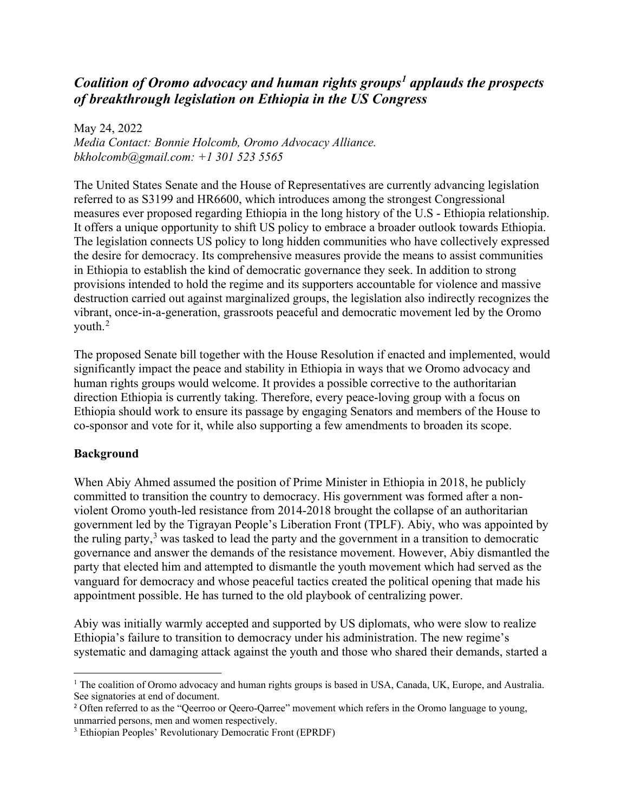# *Coalition of Oromo advocacy and human rights groups[1](#page-0-0) applauds the prospects of breakthrough legislation on Ethiopia in the US Congress*

May 24, 2022 *Media Contact: Bonnie Holcomb, Oromo Advocacy Alliance. bkholcomb@gmail.com: +1 301 523 5565* 

The United States Senate and the House of Representatives are currently advancing legislation referred to as S3199 and HR6600, which introduces among the strongest Congressional measures ever proposed regarding Ethiopia in the long history of the U.S - Ethiopia relationship. It offers a unique opportunity to shift US policy to embrace a broader outlook towards Ethiopia. The legislation connects US policy to long hidden communities who have collectively expressed the desire for democracy. Its comprehensive measures provide the means to assist communities in Ethiopia to establish the kind of democratic governance they seek. In addition to strong provisions intended to hold the regime and its supporters accountable for violence and massive destruction carried out against marginalized groups, the legislation also indirectly recognizes the vibrant, once-in-a-generation, grassroots peaceful and democratic movement led by the Oromo youth.[2](#page-0-1)

The proposed Senate bill together with the House Resolution if enacted and implemented, would significantly impact the peace and stability in Ethiopia in ways that we Oromo advocacy and human rights groups would welcome. It provides a possible corrective to the authoritarian direction Ethiopia is currently taking. Therefore, every peace-loving group with a focus on Ethiopia should work to ensure its passage by engaging Senators and members of the House to co-sponsor and vote for it, while also supporting a few amendments to broaden its scope.

#### **Background**

When Abiy Ahmed assumed the position of Prime Minister in Ethiopia in 2018, he publicly committed to transition the country to democracy. His government was formed after a nonviolent Oromo youth-led resistance from 2014-2018 brought the collapse of an authoritarian government led by the Tigrayan People's Liberation Front (TPLF). Abiy, who was appointed by the ruling party,<sup>[3](#page-0-2)</sup> was tasked to lead the party and the government in a transition to democratic governance and answer the demands of the resistance movement. However, Abiy dismantled the party that elected him and attempted to dismantle the youth movement which had served as the vanguard for democracy and whose peaceful tactics created the political opening that made his appointment possible. He has turned to the old playbook of centralizing power.

Abiy was initially warmly accepted and supported by US diplomats, who were slow to realize Ethiopia's failure to transition to democracy under his administration. The new regime's systematic and damaging attack against the youth and those who shared their demands, started a

<span id="page-0-0"></span><sup>&</sup>lt;sup>1</sup> The coalition of Oromo advocacy and human rights groups is based in USA, Canada, UK, Europe, and Australia. See signatories at end of document.

<span id="page-0-1"></span><sup>&</sup>lt;sup>2</sup> Often referred to as the "Qeerroo or Qeero-Qarree" movement which refers in the Oromo language to young, unmarried persons, men and women respectively.

<span id="page-0-2"></span><sup>3</sup> Ethiopian Peoples' Revolutionary Democratic Front (EPRDF)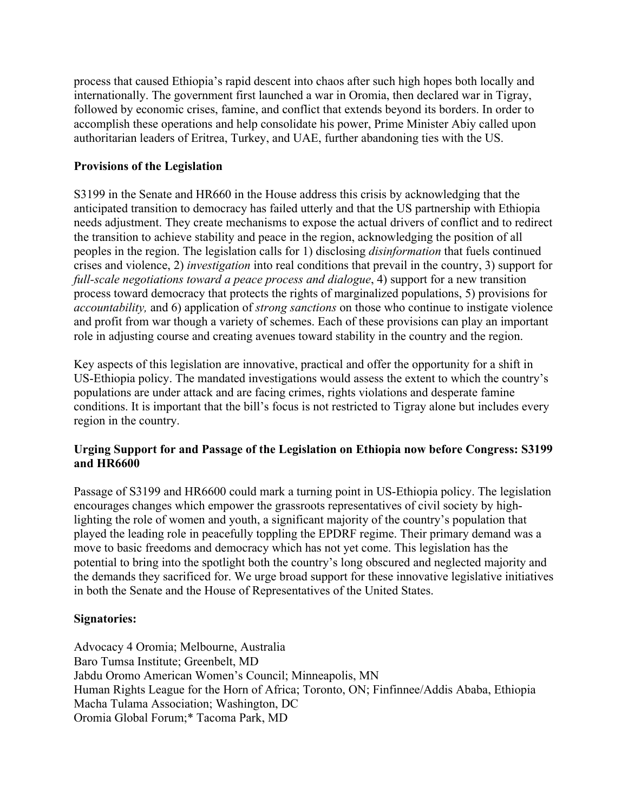process that caused Ethiopia's rapid descent into chaos after such high hopes both locally and internationally. The government first launched a war in Oromia, then declared war in Tigray, followed by economic crises, famine, and conflict that extends beyond its borders. In order to accomplish these operations and help consolidate his power, Prime Minister Abiy called upon authoritarian leaders of Eritrea, Turkey, and UAE, further abandoning ties with the US.

### **Provisions of the Legislation**

S3199 in the Senate and HR660 in the House address this crisis by acknowledging that the anticipated transition to democracy has failed utterly and that the US partnership with Ethiopia needs adjustment. They create mechanisms to expose the actual drivers of conflict and to redirect the transition to achieve stability and peace in the region, acknowledging the position of all peoples in the region. The legislation calls for 1) disclosing *disinformation* that fuels continued crises and violence, 2) *investigation* into real conditions that prevail in the country, 3) support for *full-scale negotiations toward a peace process and dialogue*, 4) support for a new transition process toward democracy that protects the rights of marginalized populations, 5) provisions for *accountability,* and 6) application of *strong sanctions* on those who continue to instigate violence and profit from war though a variety of schemes. Each of these provisions can play an important role in adjusting course and creating avenues toward stability in the country and the region.

Key aspects of this legislation are innovative, practical and offer the opportunity for a shift in US-Ethiopia policy. The mandated investigations would assess the extent to which the country's populations are under attack and are facing crimes, rights violations and desperate famine conditions. It is important that the bill's focus is not restricted to Tigray alone but includes every region in the country.

# **Urging Support for and Passage of the Legislation on Ethiopia now before Congress: S3199 and HR6600**

Passage of S3199 and HR6600 could mark a turning point in US-Ethiopia policy. The legislation encourages changes which empower the grassroots representatives of civil society by highlighting the role of women and youth, a significant majority of the country's population that played the leading role in peacefully toppling the EPDRF regime. Their primary demand was a move to basic freedoms and democracy which has not yet come. This legislation has the potential to bring into the spotlight both the country's long obscured and neglected majority and the demands they sacrificed for. We urge broad support for these innovative legislative initiatives in both the Senate and the House of Representatives of the United States.

# **Signatories:**

Advocacy 4 Oromia; Melbourne, Australia Baro Tumsa Institute; Greenbelt, MD Jabdu Oromo American Women's Council; Minneapolis, MN Human Rights League for the Horn of Africa; Toronto, ON; Finfinnee/Addis Ababa, Ethiopia Macha Tulama Association; Washington, DC Oromia Global Forum;\* Tacoma Park, MD